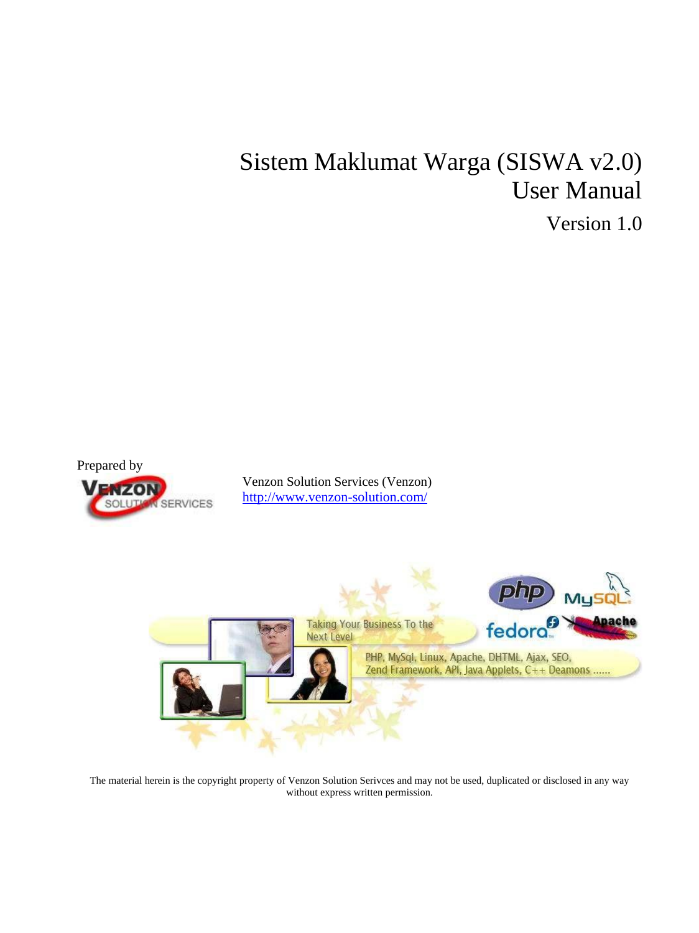# Sistem Maklumat Warga (SISWA v2.0) User Manual

Version 1.0



The material herein is the copyright property of Venzon Solution Serivces and may not be used, duplicated or disclosed in any way without express written permission.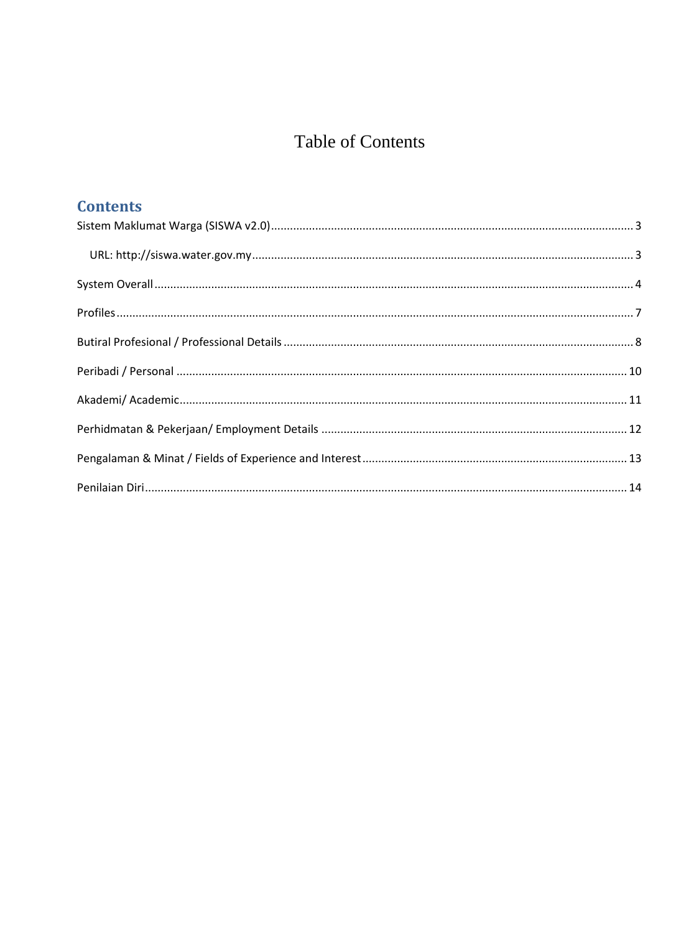#### **Table of Contents**

| <b>Contents</b> |  |
|-----------------|--|
|                 |  |
|                 |  |
|                 |  |
|                 |  |
|                 |  |
|                 |  |
|                 |  |
|                 |  |
|                 |  |
|                 |  |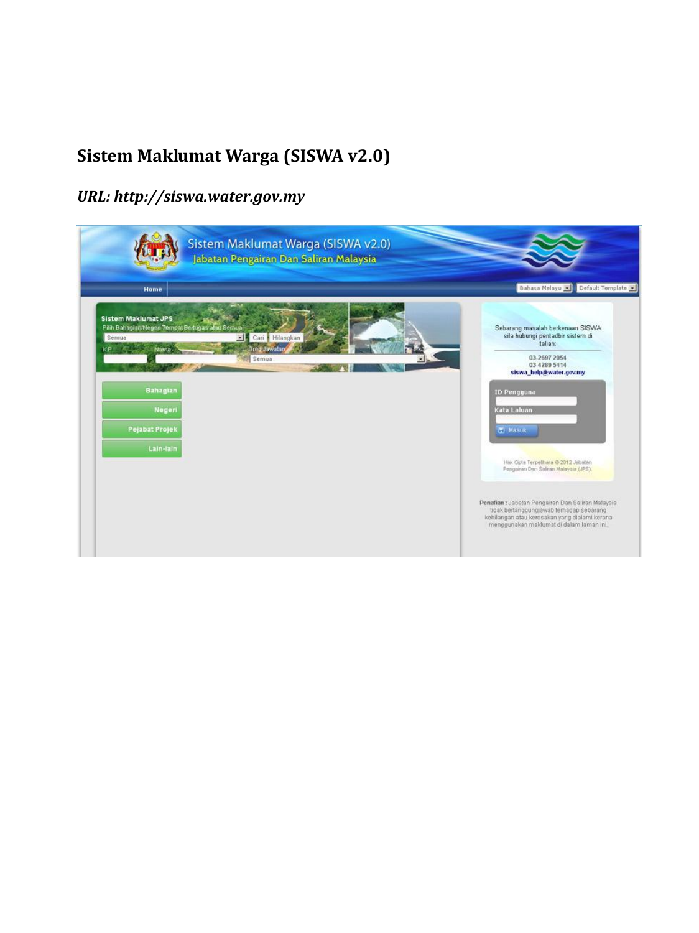#### <span id="page-2-0"></span>**Sistem Maklumat Warga (SISWA v2.0)**

#### <span id="page-2-1"></span>*URL: http://siswa.water.gov.my*

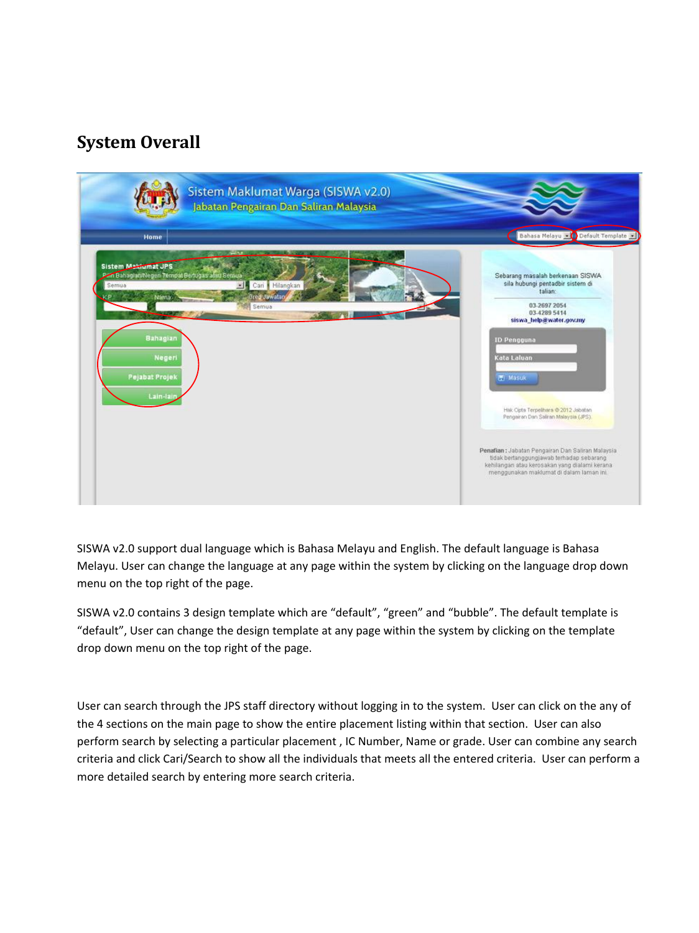#### <span id="page-3-0"></span>**System Overall**



SISWA v2.0 support dual language which is Bahasa Melayu and English. The default language is Bahasa Melayu. User can change the language at any page within the system by clicking on the language drop down menu on the top right of the page.

SISWA v2.0 contains 3 design template which are "default", "green" and "bubble". The default template is "default", User can change the design template at any page within the system by clicking on the template drop down menu on the top right of the page.

User can search through the JPS staff directory without logging in to the system. User can click on the any of the 4 sections on the main page to show the entire placement listing within that section. User can also perform search by selecting a particular placement , IC Number, Name or grade. User can combine any search criteria and click Cari/Search to show all the individuals that meets all the entered criteria. User can perform a more detailed search by entering more search criteria.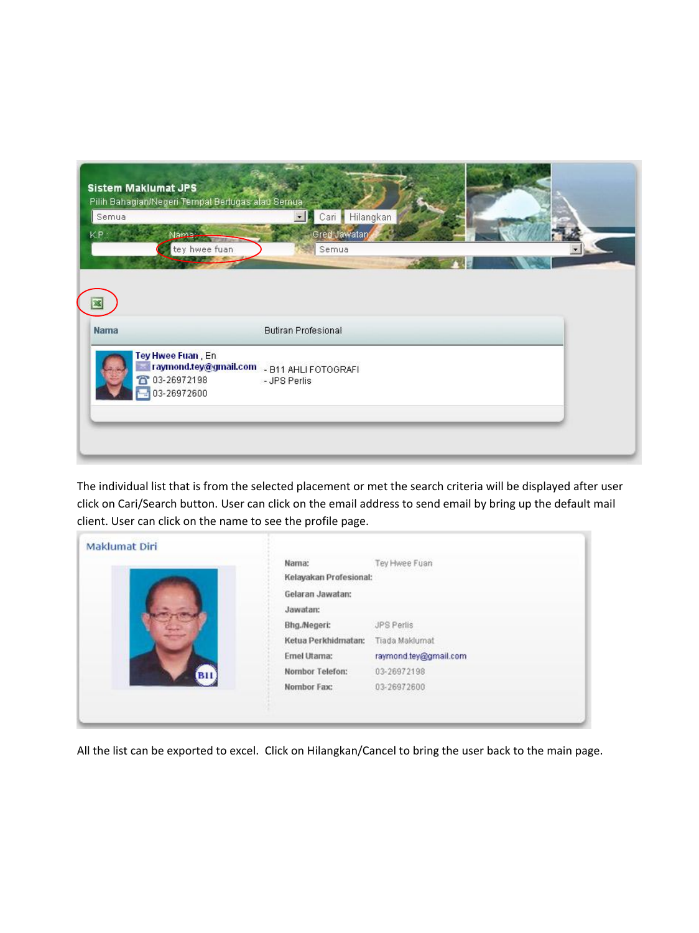| Semua<br>KP.<br>Nama—<br>tey hwee fuan         | Cari<br>$\overline{\phantom{a}}$<br>Gred Jawatan<br>Semua  | Hilangkan |  |
|------------------------------------------------|------------------------------------------------------------|-----------|--|
| <b>Nama</b>                                    | <b>Butiran Profesional</b>                                 |           |  |
| Tey Hwee Fuan En<br>03-26972198<br>03-26972600 | raymond.tey@gmail.com _ B11 AHLI FOTOGRAFI<br>- JPS Perlis |           |  |

The individual list that is from the selected placement or met the search criteria will be displayed after user click on Cari/Search button. User can click on the email address to send email by bring up the default mail client. User can click on the name to see the profile page.

|            | Nama:<br>Kelayakan Profesional: | Tey Hwee Fuan         |  |
|------------|---------------------------------|-----------------------|--|
|            | Gelaran Jawatan:                |                       |  |
|            | Jawatan:                        |                       |  |
|            | Bhg./Negeri:                    | JPS Perlis            |  |
|            | Ketua Perkhidmatan:             | Tiada Maklumat        |  |
|            | Emel Utama:                     | raymond.tey@gmail.com |  |
| <b>B11</b> | Nombor Telefon:                 | 03-26972198           |  |
|            | Nombor Fax:                     | 03-26972600           |  |

All the list can be exported to excel. Click on Hilangkan/Cancel to bring the user back to the main page.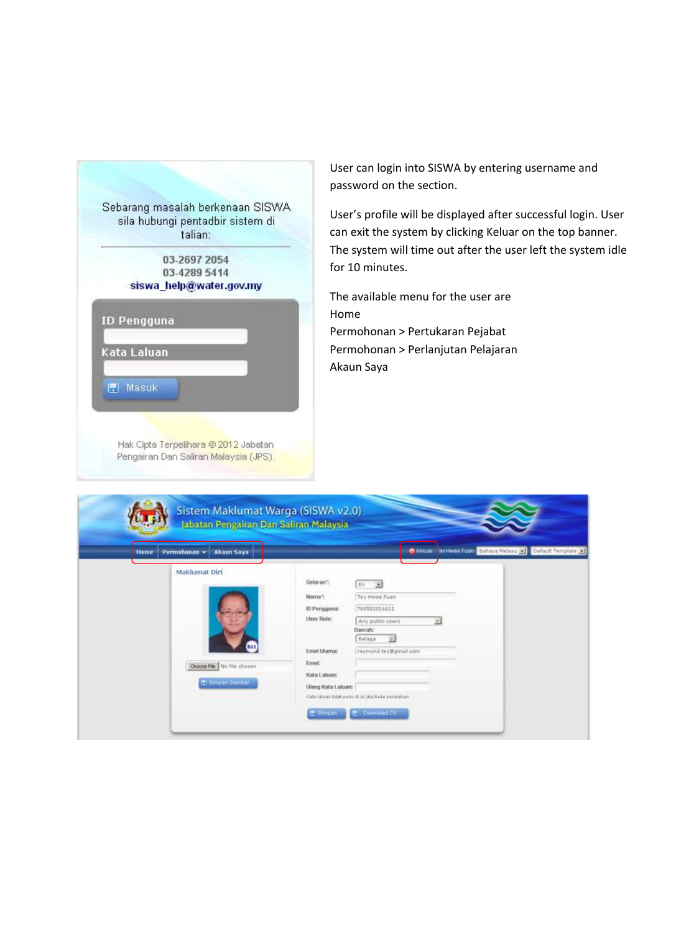

User can login into SISWA by entering username and password on the section.

User's profile will be displayed after successful login. User can exit the system by clicking Keluar on the top banner. The system will time out after the user left the system idle for 10 minutes.

The available menu for the user are Home Permohonan > Pertukaran Pejabat Permohonan > Perlanjutan Pelajaran Akaun Saya

| Akaun Saya<br>Permohonan -<br>Home                                      | Toy Hwoo Fuan Bahasa Melayu and Default Template<br>C Keiuar                                                                                                                                                                                                                                                |
|-------------------------------------------------------------------------|-------------------------------------------------------------------------------------------------------------------------------------------------------------------------------------------------------------------------------------------------------------------------------------------------------------|
| Maklumat Diri<br>в<br>Choose Fãe   No file chosen<br>(E) Simpsin Gambar | Getaran*:<br>- 31<br>En<br>Tey Hwee Fuan<br>Nama*:<br>760502016611<br>ID Pengguna:<br>User Role:<br>Any public users<br>ヨ<br>Daeratc<br>Belage<br>$\mathcal{L}$<br>Emel Utamic<br>raymond.tes@gmeil.com<br>Emet<br>Kata Labsarc<br>Ulang Kata Lakuarc<br>Kata tahuan tidak perbudi ini jika tiada pendulun. |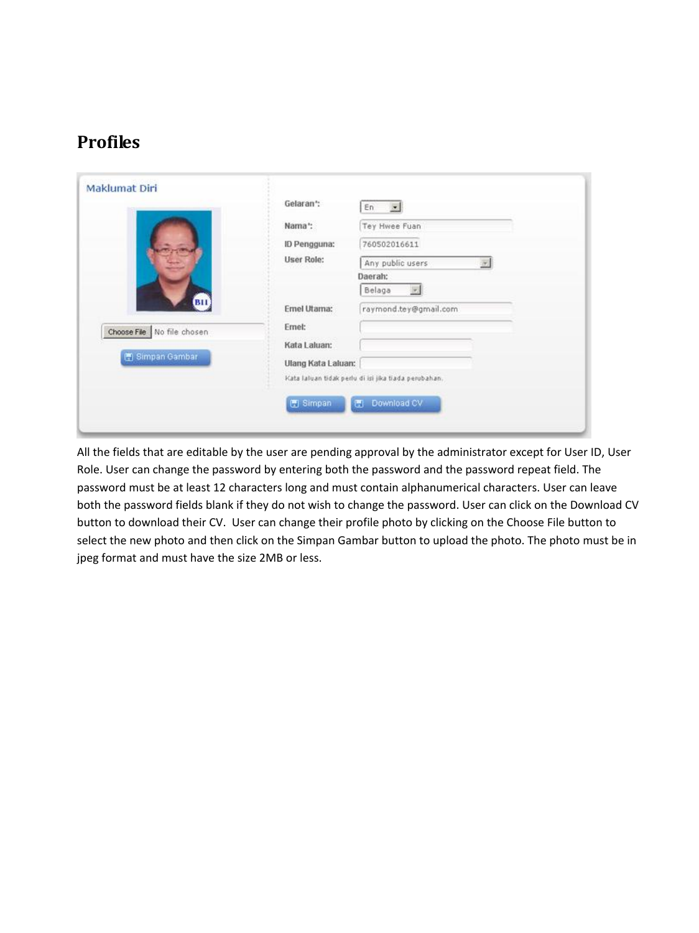#### <span id="page-6-0"></span>**Profiles**

| Maklumat Diri              |                    |                                                      |  |
|----------------------------|--------------------|------------------------------------------------------|--|
|                            | Gelaran*:          | $\overline{\phantom{a}}$<br>En                       |  |
|                            | Nama*:             | Tey Hwee Fuan                                        |  |
|                            | ID Pengguna:       | 760502016611                                         |  |
|                            | <b>User Role:</b>  | Any public users<br>$\overline{\infty}$              |  |
|                            |                    | Daerah:                                              |  |
|                            |                    | Belaga<br>$\vert \tau \rangle$                       |  |
| <b>BII</b>                 | Emel Utama:        | raymond.tey@gmail.com                                |  |
| Choose File No file chosen | Ernel:             |                                                      |  |
|                            | Kata Laluan:       |                                                      |  |
| Simpan Gambar              | Ulang Kata Laluan: |                                                      |  |
|                            |                    | Kata laluan tidak perlu di isi jika tiada perubahan. |  |
|                            |                    |                                                      |  |
|                            | Simpan             | Download CV<br>a.                                    |  |
|                            |                    |                                                      |  |

All the fields that are editable by the user are pending approval by the administrator except for User ID, User Role. User can change the password by entering both the password and the password repeat field. The password must be at least 12 characters long and must contain alphanumerical characters. User can leave both the password fields blank if they do not wish to change the password. User can click on the Download CV button to download their CV. User can change their profile photo by clicking on the Choose File button to select the new photo and then click on the Simpan Gambar button to upload the photo. The photo must be in jpeg format and must have the size 2MB or less.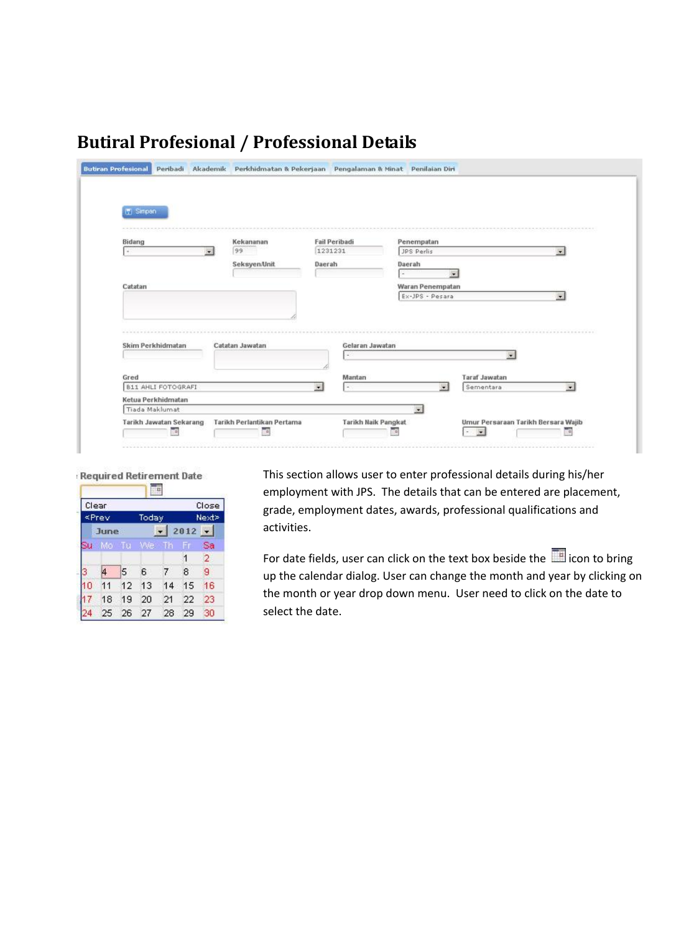| 图 Simpan                  |                         |                 |         |                      |                  |                      |                          |
|---------------------------|-------------------------|-----------------|---------|----------------------|------------------|----------------------|--------------------------|
|                           |                         |                 |         |                      |                  |                      |                          |
| Bidang                    |                         | Kekananan       |         | <b>Fail Peribadi</b> | Penempatan       |                      |                          |
| $\sim$                    | $\overline{\mathbf{r}}$ | 99              | 1231231 |                      | JPS Perlis       |                      | $\overline{\phantom{a}}$ |
|                           |                         | Seksyen/Unit    | Daerah  |                      | Daerah           |                      |                          |
|                           |                         |                 |         |                      |                  | $\bullet$            |                          |
| Catatan                   |                         |                 |         |                      | Waran Penempatan |                      |                          |
|                           |                         |                 |         |                      | Ex-JPS - Pesara  |                      | $\overline{\phantom{a}}$ |
|                           |                         |                 |         |                      |                  |                      |                          |
|                           |                         |                 |         |                      |                  |                      |                          |
|                           |                         |                 |         |                      |                  |                      |                          |
| Skim Perkhidmatan         |                         | Catatan Jawatan |         | Gelaran Jawatan      |                  |                      |                          |
|                           |                         |                 |         | $\sim$               |                  | $\cdot$              |                          |
|                           |                         |                 |         |                      |                  |                      |                          |
|                           |                         |                 |         | Mantan               |                  | <b>Taraf Jawatan</b> |                          |
| Gred                      |                         |                 | 硼       | i.                   | ۳                | Sementara            | ₩                        |
| <b>B11 AHLI FOTOGRAFI</b> |                         |                 |         |                      |                  |                      |                          |
| Ketua Perkhidmatan        |                         |                 |         |                      |                  |                      |                          |
| Tiada Maklumat            |                         |                 |         |                      | $\bullet$        |                      |                          |

#### <span id="page-7-0"></span>**Butiral Profesional / Professional Details**

#### Required Retirement Date 謳 Clear Close  $\le$  Prev Next> Today June  $-2012 -$ SU Mo Tu Sa  $\overline{2}$  $\overline{1}$  $\overline{4}$  $\vert 5 \vert$ 6  $7\phantom{.}$  $\boldsymbol{8}$ 9  $11$ 12 13 14 15 16 10 23  $17$ 18 19 20 21 22 25 26 27 28 29 30 24

This section allows user to enter professional details during his/her employment with JPS. The details that can be entered are placement, grade, employment dates, awards, professional qualifications and activities.

For date fields, user can click on the text box beside the incomparation to bring up the calendar dialog. User can change the month and year by clicking on the month or year drop down menu. User need to click on the date to select the date.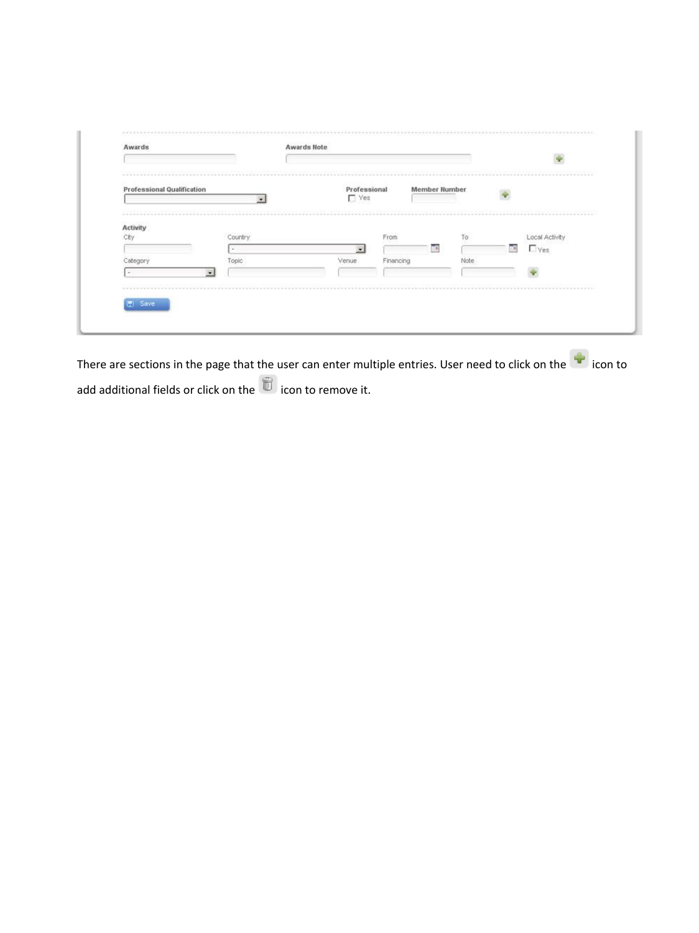| <b>Professional Qualification</b> |           | Professional |           | <b>Member Number</b> |        |                |
|-----------------------------------|-----------|--------------|-----------|----------------------|--------|----------------|
|                                   | $\bullet$ | $\Gamma$ Yes |           |                      |        |                |
| -------<br>Activity               |           |              |           |                      |        |                |
| City                              | Country   |              | From      | To                   |        | Local Activity |
|                                   | $\sim$    |              |           | ≕<br>$-10$           | $\Box$ |                |
| Category                          | Topic     | Venue.       | Financing | Note                 |        |                |
| $\cdot$<br>$\sim$                 |           |              |           |                      |        |                |

There are sections in the page that the user can enter multiple entries. User need to click on the icon to add additional fields or click on the icon to remove it.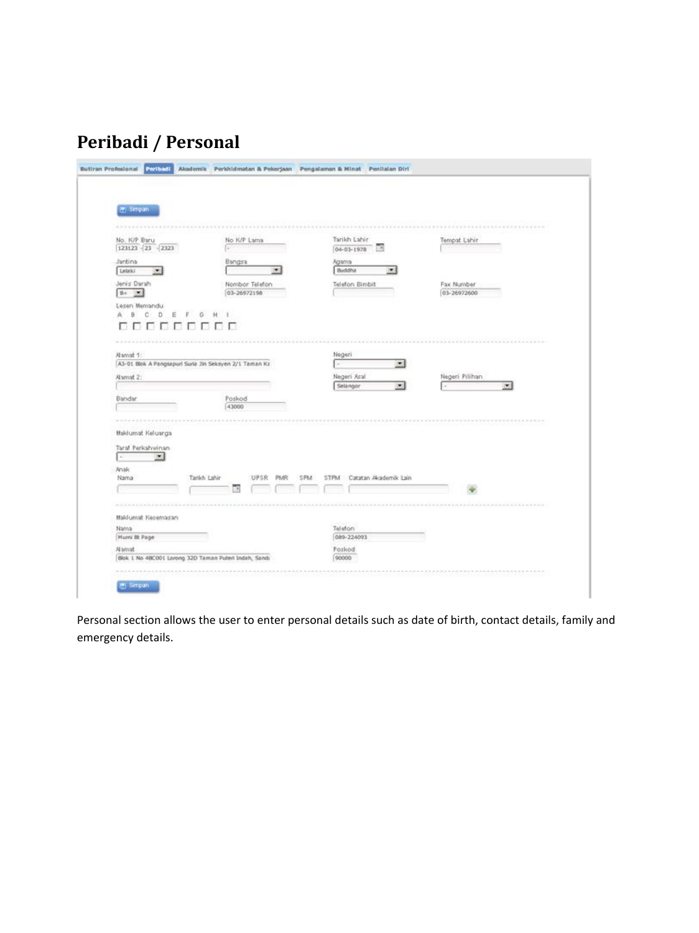## <span id="page-9-0"></span>**Peribadi / Personal**

| (F) Simpan                                                          |                 |                               |     |     |                                  |                                    |                           |  |
|---------------------------------------------------------------------|-----------------|-------------------------------|-----|-----|----------------------------------|------------------------------------|---------------------------|--|
|                                                                     |                 |                               |     |     |                                  |                                    |                           |  |
|                                                                     |                 |                               |     |     |                                  |                                    |                           |  |
| No. K/P Baru<br>$123123 \cdot 23 \cdot 233$                         |                 | No K/P Lama                   |     |     | Tarikh Lahir<br>$04 - 03 - 1978$ | $\rightarrow$                      | Tempat Lahir              |  |
| Jantina                                                             | Bangsa          |                               |     |     | Aganna                           |                                    |                           |  |
| Letzki<br>$\blacksquare$                                            |                 |                               | ۰   |     | Buddha                           | <b>CES</b>                         |                           |  |
| Jenis Darah<br>$B +$<br>$\infty$                                    |                 | Nombor Telefon<br>03-26972198 |     |     | <b>Telefon Bimbit</b>            |                                    | Fax Number<br>03-26972600 |  |
| Lesen Memandu                                                       |                 |                               |     |     |                                  |                                    |                           |  |
| c<br>D.<br>ä<br>B)<br>E                                             | Ğ               |                               |     |     |                                  |                                    |                           |  |
|                                                                     |                 |                               |     |     |                                  |                                    |                           |  |
|                                                                     |                 |                               |     |     |                                  |                                    |                           |  |
|                                                                     |                 |                               |     |     |                                  |                                    |                           |  |
| Alamat 1:<br>A3-01 Blok A Pangsapuri Suria Jin Seksyen 2/1 Taman Kz |                 |                               |     |     | Negeri                           | $\mathbf{r}$                       |                           |  |
|                                                                     |                 |                               |     |     |                                  |                                    |                           |  |
| Alamat 2:                                                           |                 |                               |     |     | Negeri Aral<br>Selangor          | $\left\vert \mathbf{v}\right\vert$ | Negeri Pilihan<br>$\sim$  |  |
|                                                                     |                 |                               |     |     |                                  |                                    |                           |  |
| Bandar                                                              | Poskod<br>43000 |                               |     |     |                                  |                                    |                           |  |
|                                                                     |                 |                               |     |     |                                  |                                    |                           |  |
|                                                                     |                 |                               |     |     |                                  |                                    |                           |  |
| Maklumat Keluarga                                                   |                 |                               |     |     |                                  |                                    |                           |  |
| Taraf Perkahwinan                                                   |                 |                               |     |     |                                  |                                    |                           |  |
| $\left\vert \mathbf{v}\right\vert$<br>$\sim$                        |                 |                               |     |     |                                  |                                    |                           |  |
| Anak                                                                |                 |                               |     |     |                                  |                                    |                           |  |
| Nama                                                                | Tarikh Lahir    | UPSR                          | PMR | SPM | <b>STPM</b>                      | Catatan Akademik Lain              |                           |  |
|                                                                     |                 |                               |     |     |                                  |                                    |                           |  |
|                                                                     |                 |                               |     |     |                                  |                                    |                           |  |
| Makfurnat Kecemasan                                                 |                 |                               |     |     |                                  |                                    |                           |  |
| Nama                                                                |                 |                               |     |     | Telefon                          |                                    |                           |  |
| Mumi Bt Page                                                        |                 |                               |     |     | 089-224093                       |                                    |                           |  |
|                                                                     |                 |                               |     |     | Poskod                           |                                    |                           |  |
| Alamat                                                              |                 |                               |     |     |                                  |                                    |                           |  |

Personal section allows the user to enter personal details such as date of birth, contact details, family and emergency details.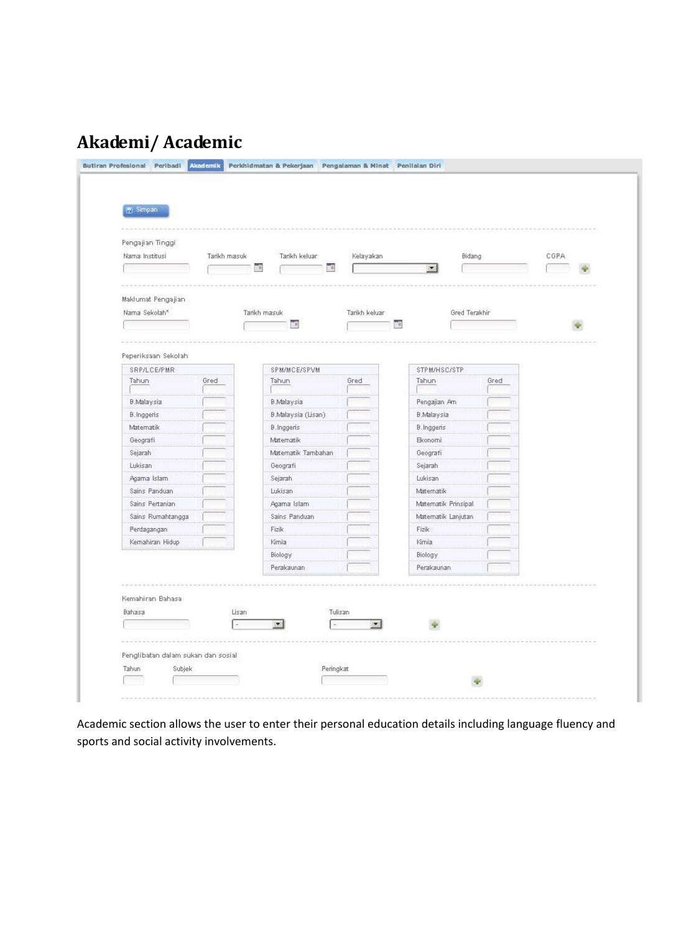## <span id="page-10-0"></span>**Akademi/ Academic**

| Pengajian Tinggi    |              |              |                            |                          |                |            |                      |      |      |  |
|---------------------|--------------|--------------|----------------------------|--------------------------|----------------|------------|----------------------|------|------|--|
| Nama Institusi      | Tarikh masuk |              | Tarikh keluar              |                          | Kelayakan      |            | <b>Bidang</b>        |      | CGPA |  |
|                     |              | Πü           |                            | $\overline{\phantom{a}}$ |                |            | $\blacktriangledown$ |      |      |  |
|                     |              |              |                            |                          |                |            |                      |      |      |  |
|                     |              |              |                            |                          |                |            |                      |      |      |  |
| Maklumat Pengajian  |              |              |                            |                          |                |            |                      |      |      |  |
| Nama Sekolah*       |              | Tarikh masuk |                            |                          | Tarikh keluar  |            | Gred Terakhir        |      |      |  |
|                     |              |              | $\overline{\phantom{a}}$ : |                          |                | <b>THE</b> |                      |      |      |  |
|                     |              |              |                            |                          |                |            |                      |      |      |  |
| Peperiksaan Sekolah |              |              |                            |                          |                |            |                      |      |      |  |
| SRP/LCE/PMR         |              |              | SPM/MCE/SPVM               |                          |                |            | STPM/HSC/STP         |      |      |  |
| Tahun               | Gred         |              | Tahun                      |                          | Gred           |            | Tahun                | Gred |      |  |
| <b>B.Malaysia</b>   |              |              | <b>B.Malaysia</b>          |                          |                |            | Pengajian Am         |      |      |  |
| <b>B.Inggeris</b>   |              |              | B.Malaysia (Lisan)         |                          |                |            | <b>B.Malaysia</b>    |      |      |  |
| Matematik           |              |              | <b>B.Inggeris</b>          |                          |                |            | <b>B.Inggeris</b>    |      |      |  |
| Geografi            |              |              | Matematik                  |                          |                |            | <b>B</b> conomi      |      |      |  |
| Sejarah             |              |              | Matematik Tambahan         |                          |                |            | Geografi             |      |      |  |
| Lukisan             |              |              | Geografi                   |                          |                |            | Sejarah              |      |      |  |
| Agama Islam         |              |              | Sejarah                    |                          |                |            | Lukisan              |      |      |  |
| Sains Panduan       |              |              | Lukisan                    |                          |                |            | Matematik            |      |      |  |
| Sains Pertanian     |              |              | Agama Islam                |                          |                |            | Matematik Prinsipal  |      |      |  |
| Sains Rumahtangga   |              |              | Sains Panduan              |                          |                |            | Matematik Lanjutan   |      |      |  |
| Perdagangan         |              |              | Fizik                      |                          |                |            | Fizik                |      |      |  |
| Kemahiran Hidup     |              |              | Kimia                      |                          |                |            | Kimia                |      |      |  |
|                     |              |              | <b>Biology</b>             |                          |                |            | <b>Biology</b>       |      |      |  |
|                     |              |              | Perakaunan                 |                          |                |            | Perakaunan           |      |      |  |
|                     |              |              |                            |                          |                |            |                      |      |      |  |
| Kemahiran Bahasa    |              |              |                            |                          |                |            |                      |      |      |  |
| Bahasa              |              | Lisan        |                            | Tulisan                  |                |            |                      |      |      |  |
|                     |              |              | $\blacksquare$             |                          | $\blacksquare$ |            |                      |      |      |  |
|                     |              |              |                            |                          |                |            |                      |      |      |  |
|                     |              |              |                            |                          |                |            |                      |      |      |  |

Academic section allows the user to enter their personal education details including language fluency and sports and social activity involvements.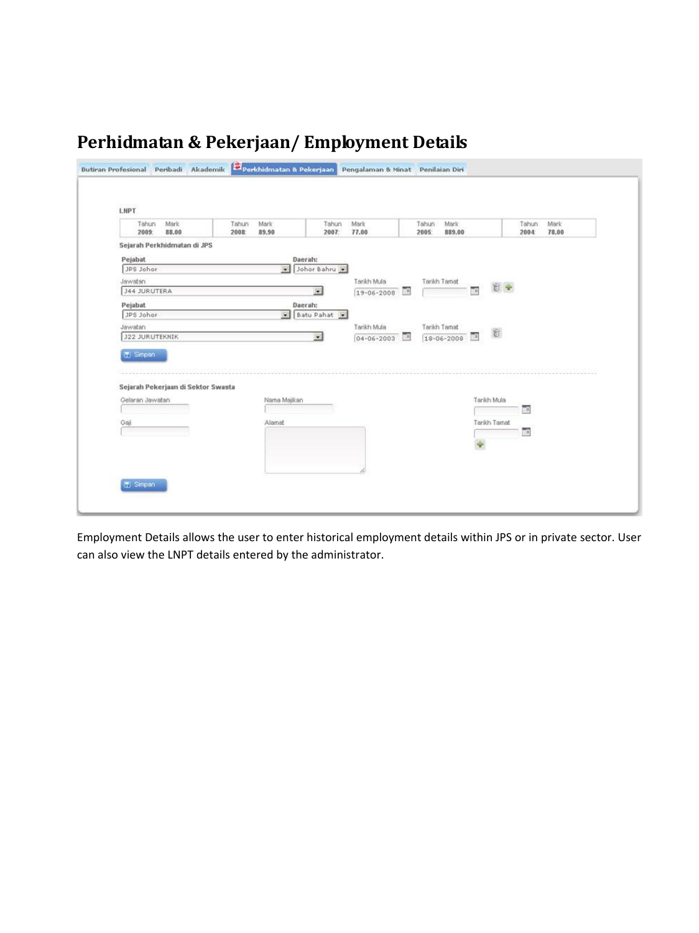## <span id="page-11-0"></span>**Perhidmatan & Pekerjaan/ Employment Details**

| Mark<br>Tahun<br>88.00<br>2009:                              | Mark<br>Tahun<br>89.90<br>2008: | Tahun<br>Mark<br>77.00<br>2007: | Mark<br>Tahun<br>889.00<br>2005: |                     | Tahun<br>Mark<br>78.00<br>2004 |
|--------------------------------------------------------------|---------------------------------|---------------------------------|----------------------------------|---------------------|--------------------------------|
| Sejarah Perkhidmatan di JPS                                  |                                 |                                 |                                  |                     |                                |
|                                                              |                                 |                                 |                                  |                     |                                |
| Pejabat<br>JPS Johor                                         | $\ddot{\phantom{1}}$            | Daerah:<br>Johor Bahru          |                                  |                     |                                |
| Jawatan                                                      |                                 | Tarikh Mula                     | Tarikh Tamat                     |                     |                                |
| <b>J44 JURUTERA</b>                                          |                                 | 医<br>19-06-2008                 | 圃                                | 日中<br>n.            |                                |
| Pejabat                                                      |                                 | Daerah:                         |                                  |                     |                                |
| JPS Johor                                                    |                                 | Batu Pahat                      |                                  |                     |                                |
| Jawatan                                                      |                                 | Tarikh Mula                     | Tarikh Tarnat                    |                     |                                |
| <b>J22 JURUTEKNIK</b>                                        |                                 | $\bullet$<br>$04 - 06 - 2003$   | <b>FB</b><br>18-06-2008          | E.<br>$\frac{1}{2}$ |                                |
|                                                              |                                 |                                 |                                  | Tarikh Mula         | 語                              |
| Sejarah Pekerjaan di Sektor Swasta<br>Gelaran Jawatan<br>Gai | Nama Majikan<br>Alamat          |                                 |                                  | Tarikh Tarnat       | 画                              |

Employment Details allows the user to enter historical employment details within JPS or in private sector. User can also view the LNPT details entered by the administrator.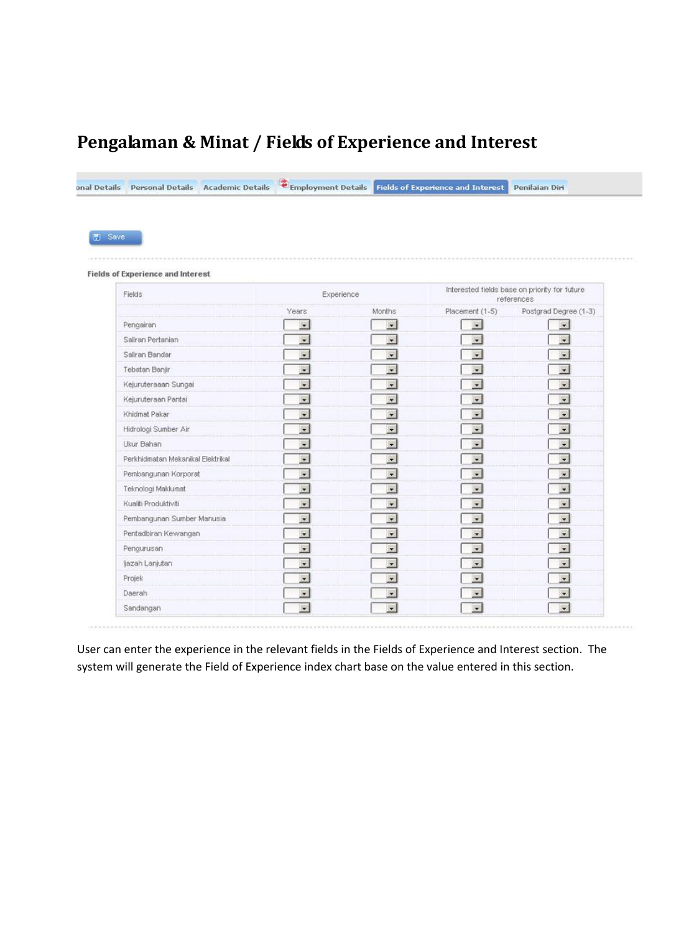#### <span id="page-12-0"></span>**Pengalaman & Minat / Fields of Experience and Interest**

| 图 Save                                   |                          |                                                |                                                             |                          |  |  |
|------------------------------------------|--------------------------|------------------------------------------------|-------------------------------------------------------------|--------------------------|--|--|
|                                          |                          |                                                |                                                             |                          |  |  |
| <b>Fields of Experience and Interest</b> |                          |                                                |                                                             |                          |  |  |
| Fields                                   | Experience               |                                                | Interested fields base on priority for future<br>references |                          |  |  |
|                                          | Years                    | Months <sup>:</sup>                            | Placement (1-5)                                             | Postgrad Degree (1-3)    |  |  |
| Pengairan                                | $\overline{\mathbf{z}}$  | $\bullet$                                      | $\sim$                                                      | $\cdot$                  |  |  |
| Saliran Pertanian                        | B                        | $\overline{\phantom{a}}$                       | 闌                                                           | $\overline{\phantom{a}}$ |  |  |
| Saliran Bandar                           | $\blacksquare$           | $\overline{ }$                                 | $\overline{\phantom{0}}$                                    | $\bullet$                |  |  |
| Tebatan Banjir                           | G.                       | $\overline{\phantom{a}}$                       | P.                                                          | $\bullet$                |  |  |
| Kejuruteraaan Sungai                     | $\overline{\phantom{a}}$ | $\overline{\mathbf{v}}$                        | $\overline{\phantom{0}}$                                    | $\cdot$                  |  |  |
| Kejuruteraan Pantai                      | $\overline{\phantom{a}}$ | $\overline{\phantom{0}}$                       | $\cdot$                                                     | $\vert \cdot \vert$      |  |  |
| Khidmat Pakar                            | P)                       | $\overline{\phantom{0}}$                       | 靀                                                           | $\cdot$                  |  |  |
| Hidrologi Sumber Air                     | $\bullet$                | $\cdot$                                        | $\bullet$                                                   | $\overline{\phantom{0}}$ |  |  |
| Ukur Bahan                               | $\overline{\phantom{0}}$ | $\overline{ }$                                 | $\cdot$                                                     | $\overline{ }$           |  |  |
| Perkhidmatan Mekanikal Elektrikal        | g.                       | $\mathbf{r}$                                   | ۳                                                           | $\sim$                   |  |  |
| Pernbangunan Korporat                    | $\overline{\phantom{a}}$ | $\vert$                                        | W                                                           | 회                        |  |  |
| Teknologi Maklumat                       | $\blacksquare$           | $\blacksquare$                                 | $\blacksquare$                                              | $\sim$                   |  |  |
| Kualiti Produktiviti                     | W)                       | $\overline{\phantom{0}}$                       | ۳                                                           | $\blacksquare$           |  |  |
| Pembangunan Sumber Manusia               | $\bullet$                | $\bullet$                                      | $\bullet$                                                   | $\cdot$                  |  |  |
| Pentadbiran Kewangan                     | G.                       | $\left \frac{d\mathbf{r}}{d\mathbf{r}}\right $ | ۳                                                           | $\mathbf{v}$             |  |  |
| Pengurusan                               | 匵                        | $\mathbf{v}$                                   | $\overline{\phantom{a}}$                                    | $\bullet$                |  |  |
|                                          | $\overline{\phantom{a}}$ | $\overline{\phantom{a}}$                       | $\overline{\phantom{0}}$                                    | $\overline{r}$           |  |  |
| ljazah Lanjutan                          |                          |                                                |                                                             |                          |  |  |

User can enter the experience in the relevant fields in the Fields of Experience and Interest section. The system will generate the Field of Experience index chart base on the value entered in this section.

.........................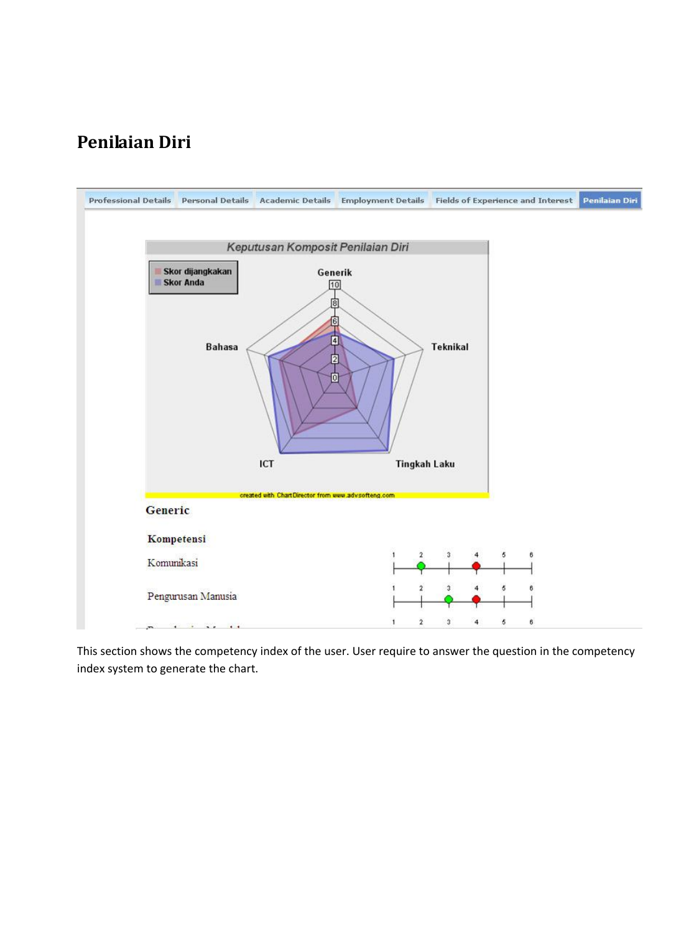#### <span id="page-13-0"></span>**Penilaian Diri**



This section shows the competency index of the user. User require to answer the question in the competency index system to generate the chart.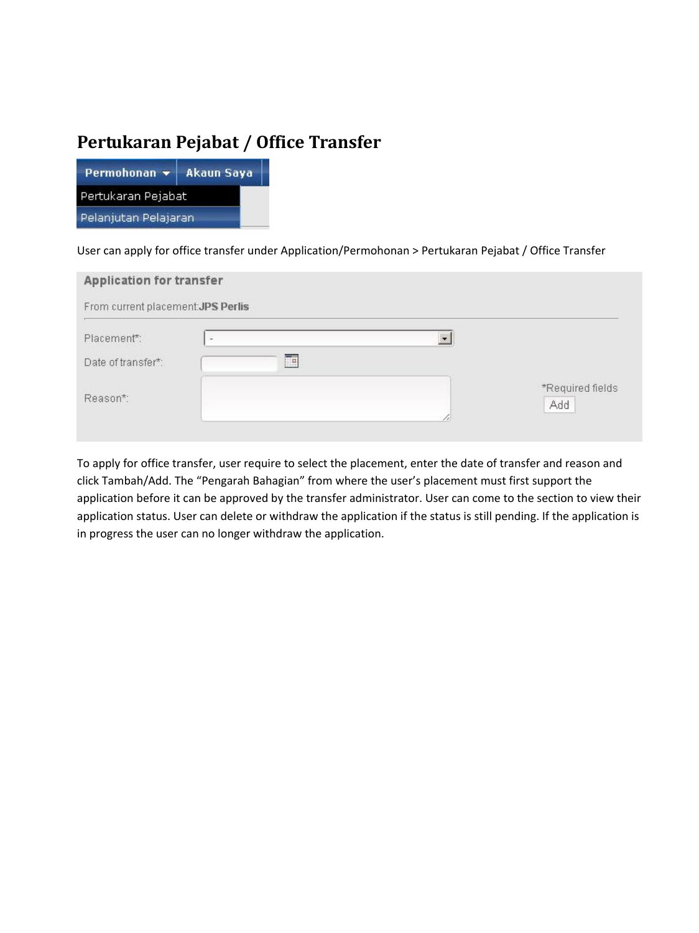#### **Pertukaran Pejabat / Office Transfer**

| Permohonan $\blacktriangledown$ | <b>Akaun Saya</b> |  |  |  |  |
|---------------------------------|-------------------|--|--|--|--|
| Pertukaran Pejabat              |                   |  |  |  |  |
| Pelanjutan Pelajaran            |                   |  |  |  |  |

#### User can apply for office transfer under Application/Permohonan > Pertukaran Pejabat / Office Transfer

| <b>Application for transfer</b>                                            |   |                         |
|----------------------------------------------------------------------------|---|-------------------------|
| From current placement.JPS Perlis                                          |   |                         |
| Placement*:                                                                | × | $\cdot$                 |
| <b>Constitution</b> Constitution of the Constitution<br>Date of transfer*: | Ŧ |                         |
| Reason*:                                                                   |   | *Required fields<br>Add |

To apply for office transfer, user require to select the placement, enter the date of transfer and reason and click Tambah/Add. The "Pengarah Bahagian" from where the user's placement must first support the application before it can be approved by the transfer administrator. User can come to the section to view their application status. User can delete or withdraw the application if the status is still pending. If the application is in progress the user can no longer withdraw the application.